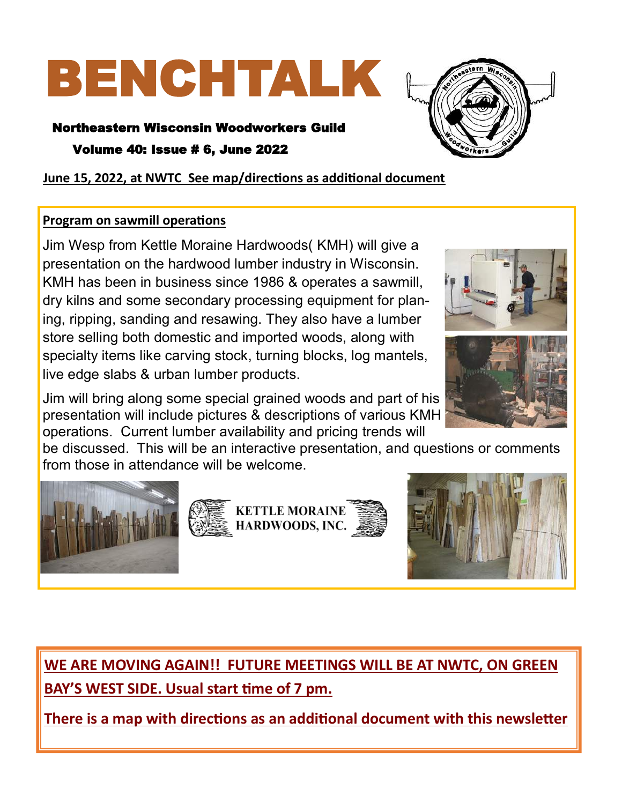# BENCHTALK

Northeastern Wisconsin Woodworkers Guild

Volume 40: Issue # 6, June 2022



**June 15, 2022, at NWTC See map/directions as additional document**

# **Program on sawmill operations**

Jim Wesp from Kettle Moraine Hardwoods( KMH) will give a presentation on the hardwood lumber industry in Wisconsin. KMH has been in business since 1986 & operates a sawmill, dry kilns and some secondary processing equipment for planing, ripping, sanding and resawing. They also have a lumber store selling both domestic and imported woods, along with specialty items like carving stock, turning blocks, log mantels, live edge slabs & urban lumber products.

Jim will bring along some special grained woods and part of his presentation will include pictures & descriptions of various KMH operations. Current lumber availability and pricing trends will

be discussed. This will be an interactive presentation, and questions or comments from those in attendance will be welcome.







**WE ARE MOVING AGAIN!! FUTURE MEETINGS WILL BE AT NWTC, ON GREEN BAY'S WEST SIDE. Usual start time of 7 pm.** 

**There is a map with directions as an additional document with this newsletter**



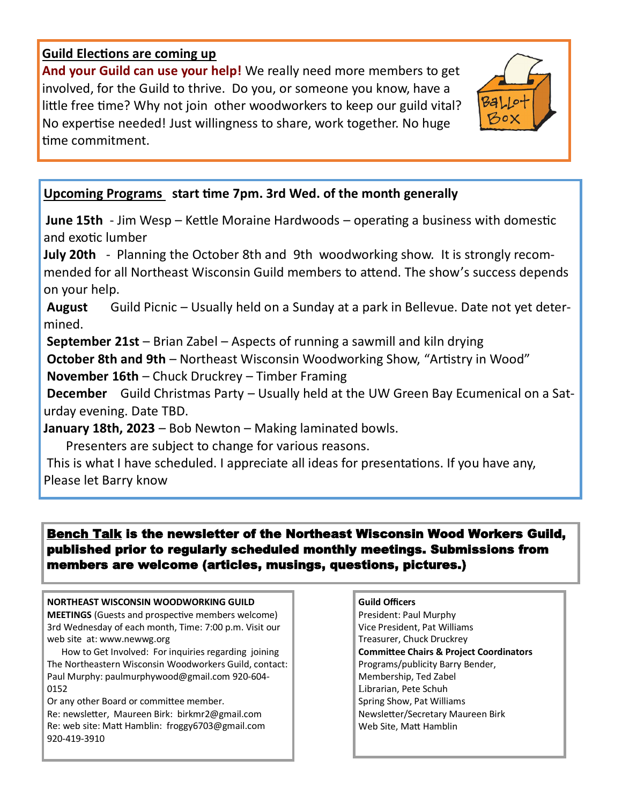## **Guild Elections are coming up**

**And your Guild can use your help!** We really need more members to get involved, for the Guild to thrive. Do you, or someone you know, have a little free time? Why not join other woodworkers to keep our guild vital? No expertise needed! Just willingness to share, work together. No huge time commitment.



# **Upcoming Programs start time 7pm. 3rd Wed. of the month generally**

**June 15th** - Jim Wesp – Kettle Moraine Hardwoods – operating a business with domestic and exotic lumber

**July 20th** - Planning the October 8th and 9th woodworking show. It is strongly recommended for all Northeast Wisconsin Guild members to attend. The show's success depends on your help.

**August** Guild Picnic – Usually held on a Sunday at a park in Bellevue. Date not yet determined.

**September 21st** – Brian Zabel – Aspects of running a sawmill and kiln drying

**October 8th and 9th** – Northeast Wisconsin Woodworking Show, "Artistry in Wood"

**November 16th** – Chuck Druckrey – Timber Framing

**December** Guild Christmas Party – Usually held at the UW Green Bay Ecumenical on a Saturday evening. Date TBD.

**January 18th, 2023** – Bob Newton – Making laminated bowls.

Presenters are subject to change for various reasons.

This is what I have scheduled. I appreciate all ideas for presentations. If you have any, Please let Barry know

## Bench Talk is the newsletter of the Northeast Wisconsin Wood Workers Guild, published prior to regularly scheduled monthly meetings. Submissions from members are welcome (articles, musings, questions, pictures.)

## **NORTHEAST WISCONSIN WOODWORKING GUILD**

**MEETINGS** (Guests and prospective members welcome) 3rd Wednesday of each month, Time: 7:00 p.m. Visit our web site at: www.newwg.org

 How to Get Involved: For inquiries regarding joining The Northeastern Wisconsin Woodworkers Guild, contact: Paul Murphy: paulmurphywood@gmail.com 920-604- 0152

Or any other Board or committee member. Re: newsletter, Maureen Birk: birkmr2@gmail.com Re: web site: Matt Hamblin: froggy6703@gmail.com 920-419-3910

## **Guild Officers**

President: Paul Murphy Vice President, Pat Williams Treasurer, Chuck Druckrey **Committee Chairs & Project Coordinators**  Programs/publicity Barry Bender, Membership, Ted Zabel Librarian, Pete Schuh Spring Show, Pat Williams Newsletter/Secretary Maureen Birk Web Site, Matt Hamblin